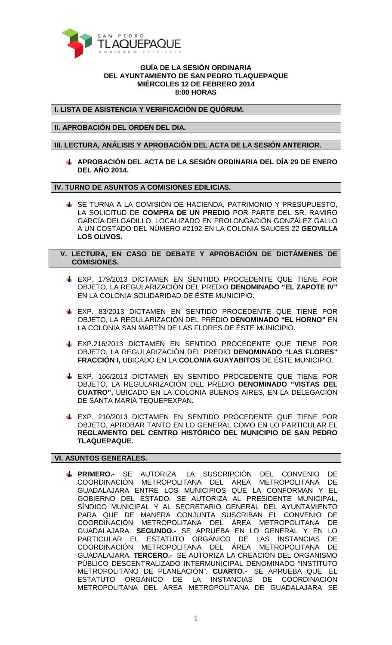

## **GUÍA DE LA SESIÓN ORDINARIA DEL AYUNTAMIENTO DE SAN PEDRO TLAQUEPAQUE MIÉRCOLES 12 DE FEBRERO 2014 8:00 HORAS**

**I. LISTA DE ASISTENCIA Y VERIFICACIÓN DE QUÓRUM.** 

**II. APROBACIÓN DEL ORDEN DEL DIA.** 

**III. LECTURA, ANÁLISIS Y APROBACIÓN DEL ACTA DE LA SESIÓN ANTERIOR.** 

**APROBACIÓN DEL ACTA DE LA SESIÓN ORDINARIA DEL DÍA 29 DE ENERO DEL AÑO 2014.** 

## **IV. TURNO DE ASUNTOS A COMISIONES EDILICIAS.**

**SE TURNA A LA COMISIÓN DE HACIENDA, PATRIMONIO Y PRESUPUESTO,** LA SOLICITUD DE **COMPRA DE UN PREDIO** POR PARTE DEL SR. RAMIRO GARCÍA DELGADILLO, LOCALIZADO EN PROLONGACIÓN GONZÁLEZ GALLO A UN COSTADO DEL NÚMERO #2192 EN LA COLONIA SAUCES 22 **GEOVILLA LOS OLIVOS.** 

 **V. LECTURA, EN CASO DE DEBATE Y APROBACIÓN DE DICTÁMENES DE COMISIONES.** 

- **EXP. 179/2013 DICTAMEN EN SENTIDO PROCEDENTE QUE TIENE POR** OBJETO, LA REGULARIZACIÓN DEL PREDIO **DENOMINADO "EL ZAPOTE IV"**  EN LA COLONIA SOLIDARIDAD DE ÉSTE MUNICIPIO.
- EXP. 83/2013 DICTAMEN EN SENTIDO PROCEDENTE QUE TIENE POR OBJETO, LA REGULARIZACIÓN DEL PREDIO **DENOMINADO "EL HORNO"** EN LA COLONIA SAN MARTÍN DE LAS FLORES DE ÉSTE MUNICIPIO.
- EXP.216/2013 DICTAMEN EN SENTIDO PROCEDENTE QUE TIENE POR OBJETO, LA REGULARIZACIÓN DEL PREDIO **DENOMINADO "LAS FLORES" FRACCIÓN I,** UBICADO EN LA **COLONIA GUAYABITOS** DE ÉSTE MUNICIPIO.
- EXP. 166/2013 DICTAMEN EN SENTIDO PROCEDENTE QUE TIENE POR OBJETO, LA REGULARIZACIÓN DEL PREDIO **DENOMINADO "VISTAS DEL CUATRO",** UBICADO EN LA COLONIA BUENOS AIRES, EN LA DELEGACIÓN DE SANTA MARÍA TEQUEPEXPAN.
- EXP. 210/2013 DICTAMEN EN SENTIDO PROCEDENTE QUE TIENE POR OBJETO, APROBAR TANTO EN LO GENERAL COMO EN LO PARTICULAR EL **REGLAMENTO DEL CENTRO HISTÓRICO DEL MUNICIPIO DE SAN PEDRO TLAQUEPAQUE.**

## **VI. ASUNTOS GENERALES.**

**PRIMERO.-** SE AUTORIZA LA SUSCRIPCIÓN DEL CONVENIO DE COORDINACIÓN METROPOLITANA DEL ÁREA METROPOLITANA DE GUADALAJARA ENTRE LOS MUNICIPIOS QUE LA CONFORMAN Y EL GOBIERNO DEL ESTADO. SE AUTORIZA AL PRESIDENTE MUNICIPAL, SÍNDICO MUNICIPAL Y AL SECRETARIO GENERAL DEL AYUNTAMIENTO PARA QUE DE MANERA CONJUNTA SUSCRIBAN EL CONVENIO DE COORDINACIÓN METROPOLITANA DEL ÁREA METROPOLITANA DE GUADALAJARA. **SEGUNDO.-** SE APRUEBA EN LO GENERAL Y EN LO PARTICULAR EL ESTATUTO ORGÁNICO DE LAS INSTANCIAS DE COORDINACIÓN METROPOLITANA DEL ÁREA METROPOLITANA DE GUADALAJARA. **TERCERO.-** SE AUTORIZA LA CREACIÓN DEL ORGANISMO PÚBLICO DESCENTRALIZADO INTERMUNICIPAL DENOMINADO "INSTITUTO METROPOLITANO DE PLANEACIÓN". **CUARTO.-** SE APRUEBA QUE EL ESTATUTO ORGÁNICO DE LA INSTANCIAS DE COORDINACIÓN METROPOLITANA DEL ÁREA METROPOLITANA DE GUADALAJARA SE